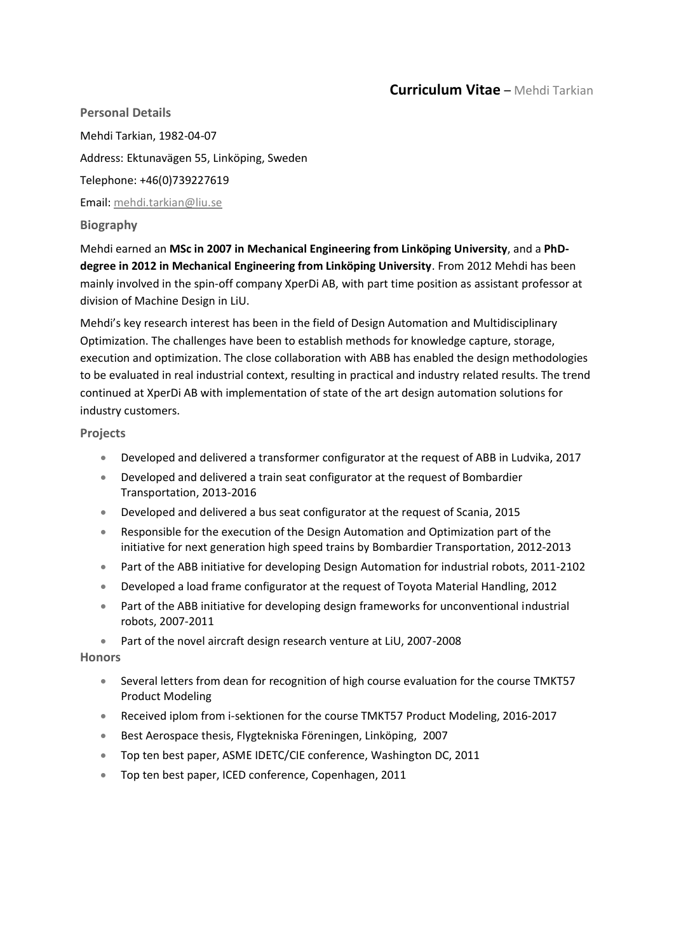## **Curriculum Vitae** – Mehdi Tarkian

**Personal Details**  Mehdi Tarkian, 1982-04-07 Address: Ektunavägen 55, Linköping, Sweden Telephone: +46(0)739227619 Email: [mehdi.tarkian@liu.se](mailto:mehdi.tarkian@liu.se)

**Biography** 

Mehdi earned an **MSc in 2007 in Mechanical Engineering from Linköping University**, and a **PhDdegree in 2012 in Mechanical Engineering from Linköping University**. From 2012 Mehdi has been mainly involved in the spin-off company XperDi AB, with part time position as assistant professor at division of Machine Design in LiU.

Mehdi's key research interest has been in the field of Design Automation and Multidisciplinary Optimization. The challenges have been to establish methods for knowledge capture, storage, execution and optimization. The close collaboration with ABB has enabled the design methodologies to be evaluated in real industrial context, resulting in practical and industry related results. The trend continued at XperDi AB with implementation of state of the art design automation solutions for industry customers.

**Projects** 

- Developed and delivered a transformer configurator at the request of ABB in Ludvika, 2017
- Developed and delivered a train seat configurator at the request of Bombardier Transportation, 2013-2016
- Developed and delivered a bus seat configurator at the request of Scania, 2015
- Responsible for the execution of the Design Automation and Optimization part of the initiative for next generation high speed trains by Bombardier Transportation, 2012-2013
- Part of the ABB initiative for developing Design Automation for industrial robots, 2011-2102
- Developed a load frame configurator at the request of Toyota Material Handling, 2012
- Part of the ABB initiative for developing design frameworks for unconventional industrial robots, 2007-2011
- Part of the novel aircraft design research venture at LiU, 2007-2008

**Honors**

- Several letters from dean for recognition of high course evaluation for the course TMKT57 Product Modeling
- Received iplom from i-sektionen for the course TMKT57 Product Modeling, 2016-2017
- Best Aerospace thesis, Flygtekniska Föreningen, Linköping, 2007
- Top ten best paper, ASME IDETC/CIE conference, Washington DC, 2011
- Top ten best paper, ICED conference, Copenhagen, 2011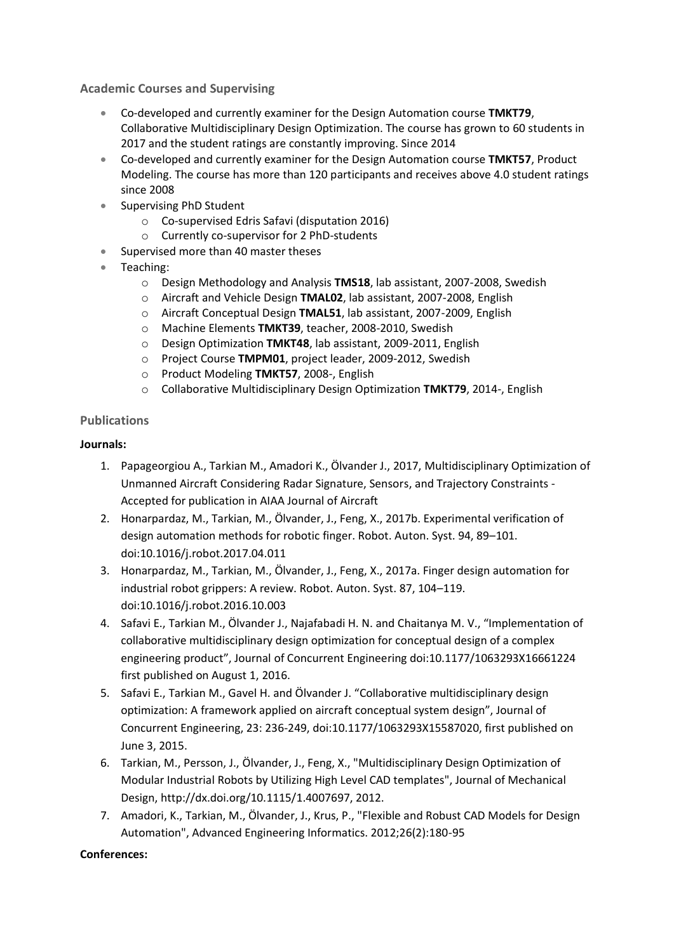**Academic Courses and Supervising**

- Co-developed and currently examiner for the Design Automation course **TMKT79**, Collaborative Multidisciplinary Design Optimization. The course has grown to 60 students in 2017 and the student ratings are constantly improving. Since 2014
- Co-developed and currently examiner for the Design Automation course **TMKT57**, Product Modeling. The course has more than 120 participants and receives above 4.0 student ratings since 2008
- Supervising PhD Student
	- o Co-supervised Edris Safavi (disputation 2016)
	- o Currently co-supervisor for 2 PhD-students
- Supervised more than 40 master theses
- Teaching:
	- o Design Methodology and Analysis **TMS18**, lab assistant, 2007-2008, Swedish
	- o Aircraft and Vehicle Design **TMAL02**, lab assistant, 2007-2008, English
	- o Aircraft Conceptual Design **TMAL51**, lab assistant, 2007-2009, English
	- o Machine Elements **TMKT39**, teacher, 2008-2010, Swedish
	- o Design Optimization **TMKT48**, lab assistant, 2009-2011, English
	- o Project Course **TMPM01**, project leader, 2009-2012, Swedish
	- o Product Modeling **TMKT57**, 2008-, English
	- o Collaborative Multidisciplinary Design Optimization **TMKT79**, 2014-, English

## **Publications**

## **Journals:**

- 1. Papageorgiou A., Tarkian M., Amadori K., Ölvander J., 2017, Multidisciplinary Optimization of Unmanned Aircraft Considering Radar Signature, Sensors, and Trajectory Constraints - Accepted for publication in AIAA Journal of Aircraft
- 2. Honarpardaz, M., Tarkian, M., Ölvander, J., Feng, X., 2017b. Experimental verification of design automation methods for robotic finger. Robot. Auton. Syst. 94, 89–101. doi:10.1016/j.robot.2017.04.011
- 3. Honarpardaz, M., Tarkian, M., Ölvander, J., Feng, X., 2017a. Finger design automation for industrial robot grippers: A review. Robot. Auton. Syst. 87, 104–119. doi:10.1016/j.robot.2016.10.003
- 4. Safavi E., Tarkian M., Ölvander J., Najafabadi H. N. and Chaitanya M. V., "Implementation of collaborative multidisciplinary design optimization for conceptual design of a complex engineering product", Journal of Concurrent Engineering doi:10.1177/1063293X16661224 first published on August 1, 2016.
- 5. Safavi E., Tarkian M., Gavel H. and Ölvander J. "Collaborative multidisciplinary design optimization: A framework applied on aircraft conceptual system design", Journal of Concurrent Engineering, 23: 236-249, doi:10.1177/1063293X15587020, first published on June 3, 2015.
- 6. Tarkian, M., Persson, J., Ölvander, J., Feng, X., "Multidisciplinary Design Optimization of Modular Industrial Robots by Utilizing High Level CAD templates", Journal of Mechanical Design, http://dx.doi.org/10.1115/1.4007697, 2012.
- 7. Amadori, K., Tarkian, M., Ölvander, J., Krus, P., "Flexible and Robust CAD Models for Design Automation", Advanced Engineering Informatics. 2012;26(2):180-95

## **Conferences:**